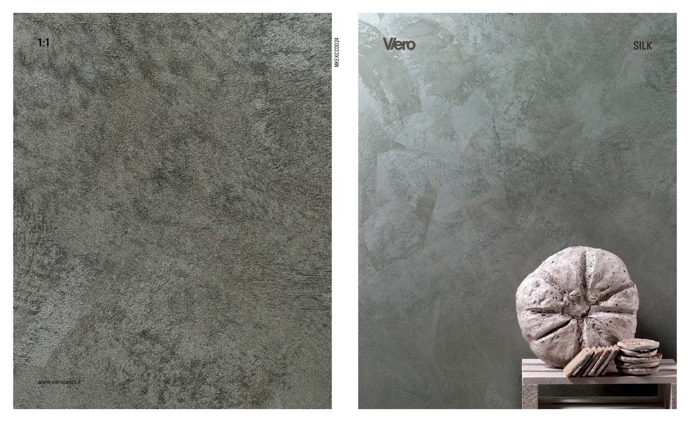